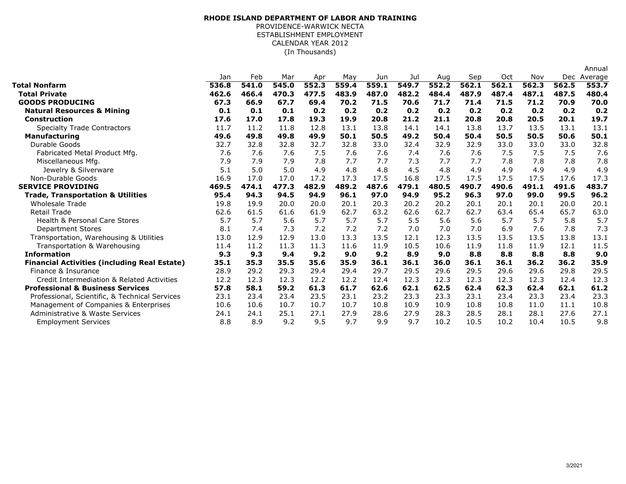## **RHODE ISLAND DEPARTMENT OF LABOR AND TRAINING** PROVIDENCE-WARWICK NECTA ESTABLISHMENT EMPLOYMENT CALENDAR YEAR 2012

(In Thousands)

|                                                     |       |       |       |       |       |       |       |       |       |            |       |       | Annual      |
|-----------------------------------------------------|-------|-------|-------|-------|-------|-------|-------|-------|-------|------------|-------|-------|-------------|
|                                                     | Jan   | Feb   | Mar   | Apr   | May   | Jun   | Jul   | Aug   | Sep   | <b>Oct</b> | Nov   |       | Dec Average |
| Total Nonfarm                                       | 536.8 | 541.0 | 545.0 | 552.3 | 559.4 | 559.1 | 549.7 | 552.2 | 562.1 | 562.1      | 562.3 | 562.5 | 553.7       |
| <b>Total Private</b>                                | 462.6 | 466.4 | 470.3 | 477.5 | 483.9 | 487.0 | 482.2 | 484.4 | 487.9 | 487.4      | 487.1 | 487.5 | 480.4       |
| <b>GOODS PRODUCING</b>                              | 67.3  | 66.9  | 67.7  | 69.4  | 70.2  | 71.5  | 70.6  | 71.7  | 71.4  | 71.5       | 71.2  | 70.9  | 70.0        |
| <b>Natural Resources &amp; Mining</b>               | 0.1   | 0.1   | 0.1   | 0.2   | 0.2   | 0.2   | 0.2   | 0.2   | 0.2   | 0.2        | 0.2   | 0.2   | 0.2         |
| Construction                                        | 17.6  | 17.0  | 17.8  | 19.3  | 19.9  | 20.8  | 21.2  | 21.1  | 20.8  | 20.8       | 20.5  | 20.1  | 19.7        |
| <b>Specialty Trade Contractors</b>                  | 11.7  | 11.2  | 11.8  | 12.8  | 13.1  | 13.8  | 14.1  | 14.1  | 13.8  | 13.7       | 13.5  | 13.1  | 13.1        |
| <b>Manufacturing</b>                                | 49.6  | 49.8  | 49.8  | 49.9  | 50.1  | 50.5  | 49.2  | 50.4  | 50.4  | 50.5       | 50.5  | 50.6  | 50.1        |
| Durable Goods                                       | 32.7  | 32.8  | 32.8  | 32.7  | 32.8  | 33.0  | 32.4  | 32.9  | 32.9  | 33.0       | 33.0  | 33.0  | 32.8        |
| Fabricated Metal Product Mfg.                       | 7.6   | 7.6   | 7.6   | 7.5   | 7.6   | 7.6   | 7.4   | 7.6   | 7.6   | 7.5        | 7.5   | 7.5   | 7.6         |
| Miscellaneous Mfg.                                  | 7.9   | 7.9   | 7.9   | 7.8   | 7.7   | 7.7   | 7.3   | 7.7   | 7.7   | 7.8        | 7.8   | 7.8   | 7.8         |
| Jewelry & Silverware                                | 5.1   | 5.0   | 5.0   | 4.9   | 4.8   | 4.8   | 4.5   | 4.8   | 4.9   | 4.9        | 4.9   | 4.9   | 4.9         |
| Non-Durable Goods                                   | 16.9  | 17.0  | 17.0  | 17.2  | 17.3  | 17.5  | 16.8  | 17.5  | 17.5  | 17.5       | 17.5  | 17.6  | 17.3        |
| <b>SERVICE PROVIDING</b>                            | 469.5 | 474.1 | 477.3 | 482.9 | 489.2 | 487.6 | 479.1 | 480.5 | 490.7 | 490.6      | 491.1 | 491.6 | 483.7       |
| <b>Trade, Transportation &amp; Utilities</b>        | 95.4  | 94.3  | 94.5  | 94.9  | 96.1  | 97.0  | 94.9  | 95.2  | 96.3  | 97.0       | 99.0  | 99.5  | 96.2        |
| <b>Wholesale Trade</b>                              | 19.8  | 19.9  | 20.0  | 20.0  | 20.1  | 20.3  | 20.2  | 20.2  | 20.1  | 20.1       | 20.1  | 20.0  | 20.1        |
| <b>Retail Trade</b>                                 | 62.6  | 61.5  | 61.6  | 61.9  | 62.7  | 63.2  | 62.6  | 62.7  | 62.7  | 63.4       | 65.4  | 65.7  | 63.0        |
| Health & Personal Care Stores                       | 5.7   | 5.7   | 5.6   | 5.7   | 5.7   | 5.7   | 5.5   | 5.6   | 5.6   | 5.7        | 5.7   | 5.8   | 5.7         |
| <b>Department Stores</b>                            | 8.1   | 7.4   | 7.3   | 7.2   | 7.2   | 7.2   | 7.0   | 7.0   | 7.0   | 6.9        | 7.6   | 7.8   | 7.3         |
| Transportation, Warehousing & Utilities             | 13.0  | 12.9  | 12.9  | 13.0  | 13.3  | 13.5  | 12.1  | 12.3  | 13.5  | 13.5       | 13.5  | 13.8  | 13.1        |
| Transportation & Warehousing                        | 11.4  | 11.2  | 11.3  | 11.3  | 11.6  | 11.9  | 10.5  | 10.6  | 11.9  | 11.8       | 11.9  | 12.1  | 11.5        |
| <b>Information</b>                                  | 9.3   | 9.3   | 9.4   | 9.2   | 9.0   | 9.2   | 8.9   | 9.0   | 8.8   | 8.8        | 8.8   | 8.8   | 9.0         |
| <b>Financial Activities (including Real Estate)</b> | 35.1  | 35.3  | 35.5  | 35.6  | 35.9  | 36.1  | 36.1  | 36.0  | 36.1  | 36.1       | 36.2  | 36.2  | 35.9        |
| Finance & Insurance                                 | 28.9  | 29.2  | 29.3  | 29.4  | 29.4  | 29.7  | 29.5  | 29.6  | 29.5  | 29.6       | 29.6  | 29.8  | 29.5        |
| Credit Intermediation & Related Activities          | 12.2  | 12.3  | 12.3  | 12.2  | 12.2  | 12.4  | 12.3  | 12.3  | 12.3  | 12.3       | 12.3  | 12.4  | 12.3        |
| <b>Professional &amp; Business Services</b>         | 57.8  | 58.1  | 59.2  | 61.3  | 61.7  | 62.6  | 62.1  | 62.5  | 62.4  | 62.3       | 62.4  | 62.1  | 61.2        |
| Professional, Scientific, & Technical Services      | 23.1  | 23.4  | 23.4  | 23.5  | 23.1  | 23.2  | 23.3  | 23.3  | 23.1  | 23.4       | 23.3  | 23.4  | 23.3        |
| Management of Companies & Enterprises               | 10.6  | 10.6  | 10.7  | 10.7  | 10.7  | 10.8  | 10.9  | 10.9  | 10.8  | 10.8       | 11.0  | 11.1  | 10.8        |
| Administrative & Waste Services                     | 24.1  | 24.1  | 25.1  | 27.1  | 27.9  | 28.6  | 27.9  | 28.3  | 28.5  | 28.1       | 28.1  | 27.6  | 27.1        |
| <b>Employment Services</b>                          | 8.8   | 8.9   | 9.2   | 9.5   | 9.7   | 9.9   | 9.7   | 10.2  | 10.5  | 10.2       | 10.4  | 10.5  | 9.8         |